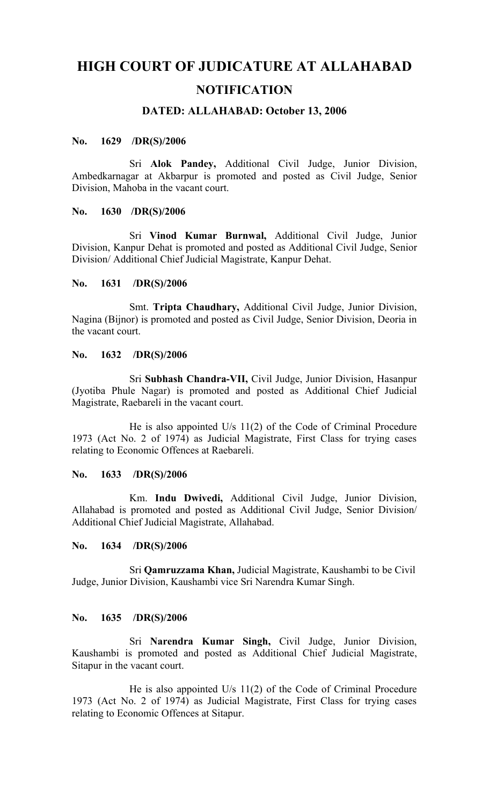# **HIGH COURT OF JUDICATURE AT ALLAHABAD NOTIFICATION**

## **DATED: ALLAHABAD: October 13, 2006**

## **No. 1629 /DR(S)/2006**

Sri **Alok Pandey,** Additional Civil Judge, Junior Division, Ambedkarnagar at Akbarpur is promoted and posted as Civil Judge, Senior Division, Mahoba in the vacant court.

## **No. 1630 /DR(S)/2006**

Sri **Vinod Kumar Burnwal,** Additional Civil Judge, Junior Division, Kanpur Dehat is promoted and posted as Additional Civil Judge, Senior Division/ Additional Chief Judicial Magistrate, Kanpur Dehat.

## **No. 1631 /DR(S)/2006**

Smt. **Tripta Chaudhary,** Additional Civil Judge, Junior Division, Nagina (Bijnor) is promoted and posted as Civil Judge, Senior Division, Deoria in the vacant court.

## **No. 1632 /DR(S)/2006**

Sri **Subhash Chandra-VII,** Civil Judge, Junior Division, Hasanpur (Jyotiba Phule Nagar) is promoted and posted as Additional Chief Judicial Magistrate, Raebareli in the vacant court.

He is also appointed U/s 11(2) of the Code of Criminal Procedure 1973 (Act No. 2 of 1974) as Judicial Magistrate, First Class for trying cases relating to Economic Offences at Raebareli.

#### **No. 1633 /DR(S)/2006**

Km. **Indu Dwivedi,** Additional Civil Judge, Junior Division, Allahabad is promoted and posted as Additional Civil Judge, Senior Division/ Additional Chief Judicial Magistrate, Allahabad.

#### **No. 1634 /DR(S)/2006**

Sri **Qamruzzama Khan,** Judicial Magistrate, Kaushambi to be Civil Judge, Junior Division, Kaushambi vice Sri Narendra Kumar Singh.

## **No. 1635 /DR(S)/2006**

Sri **Narendra Kumar Singh,** Civil Judge, Junior Division, Kaushambi is promoted and posted as Additional Chief Judicial Magistrate, Sitapur in the vacant court.

He is also appointed U/s 11(2) of the Code of Criminal Procedure 1973 (Act No. 2 of 1974) as Judicial Magistrate, First Class for trying cases relating to Economic Offences at Sitapur.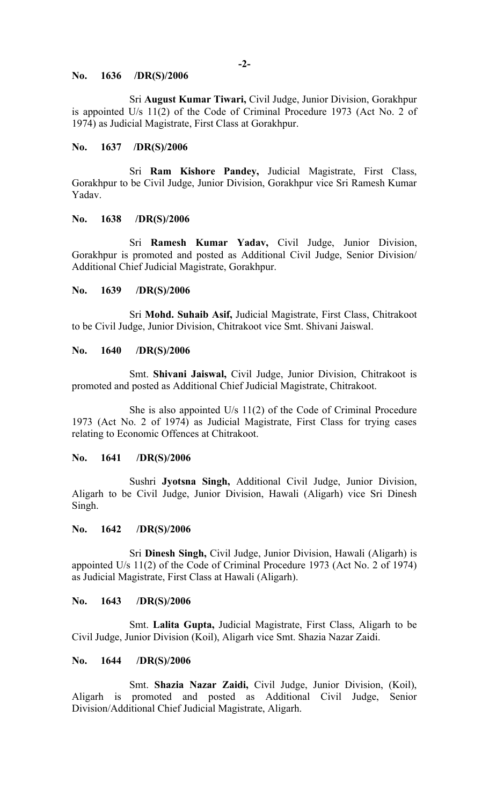#### **No. 1636 /DR(S)/2006**

Sri **August Kumar Tiwari,** Civil Judge, Junior Division, Gorakhpur is appointed U/s 11(2) of the Code of Criminal Procedure 1973 (Act No. 2 of 1974) as Judicial Magistrate, First Class at Gorakhpur.

## **No. 1637 /DR(S)/2006**

Sri **Ram Kishore Pandey,** Judicial Magistrate, First Class, Gorakhpur to be Civil Judge, Junior Division, Gorakhpur vice Sri Ramesh Kumar Yadav.

#### **No. 1638 /DR(S)/2006**

Sri **Ramesh Kumar Yadav,** Civil Judge, Junior Division, Gorakhpur is promoted and posted as Additional Civil Judge, Senior Division/ Additional Chief Judicial Magistrate, Gorakhpur.

#### **No. 1639 /DR(S)/2006**

Sri **Mohd. Suhaib Asif,** Judicial Magistrate, First Class, Chitrakoot to be Civil Judge, Junior Division, Chitrakoot vice Smt. Shivani Jaiswal.

## **No. 1640 /DR(S)/2006**

Smt. **Shivani Jaiswal,** Civil Judge, Junior Division, Chitrakoot is promoted and posted as Additional Chief Judicial Magistrate, Chitrakoot.

She is also appointed U/s 11(2) of the Code of Criminal Procedure 1973 (Act No. 2 of 1974) as Judicial Magistrate, First Class for trying cases relating to Economic Offences at Chitrakoot.

#### **No. 1641 /DR(S)/2006**

Sushri **Jyotsna Singh,** Additional Civil Judge, Junior Division, Aligarh to be Civil Judge, Junior Division, Hawali (Aligarh) vice Sri Dinesh Singh.

#### **No. 1642 /DR(S)/2006**

Sri **Dinesh Singh,** Civil Judge, Junior Division, Hawali (Aligarh) is appointed U/s 11(2) of the Code of Criminal Procedure 1973 (Act No. 2 of 1974) as Judicial Magistrate, First Class at Hawali (Aligarh).

#### **No. 1643 /DR(S)/2006**

Smt. **Lalita Gupta,** Judicial Magistrate, First Class, Aligarh to be Civil Judge, Junior Division (Koil), Aligarh vice Smt. Shazia Nazar Zaidi.

#### **No. 1644 /DR(S)/2006**

Smt. **Shazia Nazar Zaidi,** Civil Judge, Junior Division, (Koil), Aligarh is promoted and posted as Additional Civil Judge, Senior Division/Additional Chief Judicial Magistrate, Aligarh.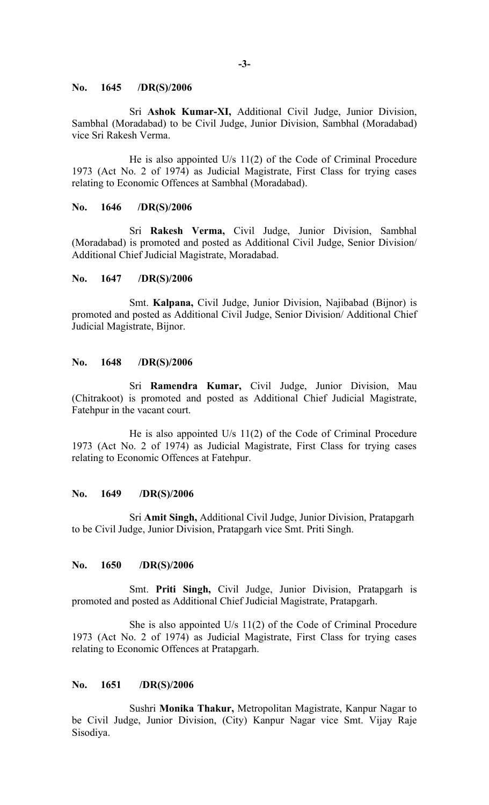#### **No. 1645 /DR(S)/2006**

Sri **Ashok Kumar-XI,** Additional Civil Judge, Junior Division, Sambhal (Moradabad) to be Civil Judge, Junior Division, Sambhal (Moradabad) vice Sri Rakesh Verma.

He is also appointed U/s 11(2) of the Code of Criminal Procedure 1973 (Act No. 2 of 1974) as Judicial Magistrate, First Class for trying cases relating to Economic Offences at Sambhal (Moradabad).

#### **No. 1646 /DR(S)/2006**

Sri **Rakesh Verma,** Civil Judge, Junior Division, Sambhal (Moradabad) is promoted and posted as Additional Civil Judge, Senior Division/ Additional Chief Judicial Magistrate, Moradabad.

## **No. 1647 /DR(S)/2006**

Smt. **Kalpana,** Civil Judge, Junior Division, Najibabad (Bijnor) is promoted and posted as Additional Civil Judge, Senior Division/ Additional Chief Judicial Magistrate, Bijnor.

#### **No. 1648 /DR(S)/2006**

Sri **Ramendra Kumar,** Civil Judge, Junior Division, Mau (Chitrakoot) is promoted and posted as Additional Chief Judicial Magistrate, Fatehpur in the vacant court.

He is also appointed U/s 11(2) of the Code of Criminal Procedure 1973 (Act No. 2 of 1974) as Judicial Magistrate, First Class for trying cases relating to Economic Offences at Fatehpur.

#### **No. 1649 /DR(S)/2006**

Sri **Amit Singh,** Additional Civil Judge, Junior Division, Pratapgarh to be Civil Judge, Junior Division, Pratapgarh vice Smt. Priti Singh.

## **No. 1650 /DR(S)/2006**

Smt. **Priti Singh,** Civil Judge, Junior Division, Pratapgarh is promoted and posted as Additional Chief Judicial Magistrate, Pratapgarh.

She is also appointed U/s 11(2) of the Code of Criminal Procedure 1973 (Act No. 2 of 1974) as Judicial Magistrate, First Class for trying cases relating to Economic Offences at Pratapgarh.

## **No. 1651 /DR(S)/2006**

Sushri **Monika Thakur,** Metropolitan Magistrate, Kanpur Nagar to be Civil Judge, Junior Division, (City) Kanpur Nagar vice Smt. Vijay Raje Sisodiya.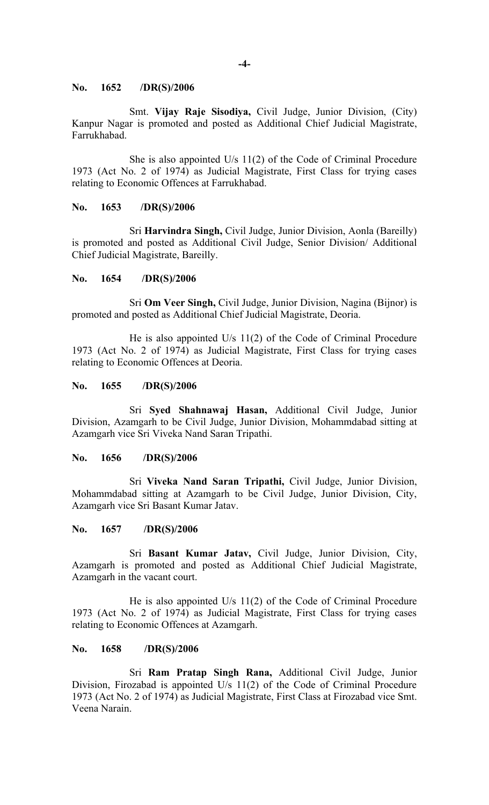#### **No. 1652 /DR(S)/2006**

Smt. **Vijay Raje Sisodiya,** Civil Judge, Junior Division, (City) Kanpur Nagar is promoted and posted as Additional Chief Judicial Magistrate, Farrukhabad.

She is also appointed U/s 11(2) of the Code of Criminal Procedure 1973 (Act No. 2 of 1974) as Judicial Magistrate, First Class for trying cases relating to Economic Offences at Farrukhabad.

#### **No. 1653 /DR(S)/2006**

Sri **Harvindra Singh,** Civil Judge, Junior Division, Aonla (Bareilly) is promoted and posted as Additional Civil Judge, Senior Division/ Additional Chief Judicial Magistrate, Bareilly.

#### **No. 1654 /DR(S)/2006**

Sri **Om Veer Singh,** Civil Judge, Junior Division, Nagina (Bijnor) is promoted and posted as Additional Chief Judicial Magistrate, Deoria.

He is also appointed U/s 11(2) of the Code of Criminal Procedure 1973 (Act No. 2 of 1974) as Judicial Magistrate, First Class for trying cases relating to Economic Offences at Deoria.

#### **No. 1655 /DR(S)/2006**

Sri **Syed Shahnawaj Hasan,** Additional Civil Judge, Junior Division, Azamgarh to be Civil Judge, Junior Division, Mohammdabad sitting at Azamgarh vice Sri Viveka Nand Saran Tripathi.

#### **No. 1656 /DR(S)/2006**

Sri **Viveka Nand Saran Tripathi,** Civil Judge, Junior Division, Mohammdabad sitting at Azamgarh to be Civil Judge, Junior Division, City, Azamgarh vice Sri Basant Kumar Jatav.

#### **No. 1657 /DR(S)/2006**

Sri **Basant Kumar Jatav,** Civil Judge, Junior Division, City, Azamgarh is promoted and posted as Additional Chief Judicial Magistrate, Azamgarh in the vacant court.

He is also appointed U/s 11(2) of the Code of Criminal Procedure 1973 (Act No. 2 of 1974) as Judicial Magistrate, First Class for trying cases relating to Economic Offences at Azamgarh.

#### **No. 1658 /DR(S)/2006**

Sri **Ram Pratap Singh Rana,** Additional Civil Judge, Junior Division, Firozabad is appointed U/s 11(2) of the Code of Criminal Procedure 1973 (Act No. 2 of 1974) as Judicial Magistrate, First Class at Firozabad vice Smt. Veena Narain.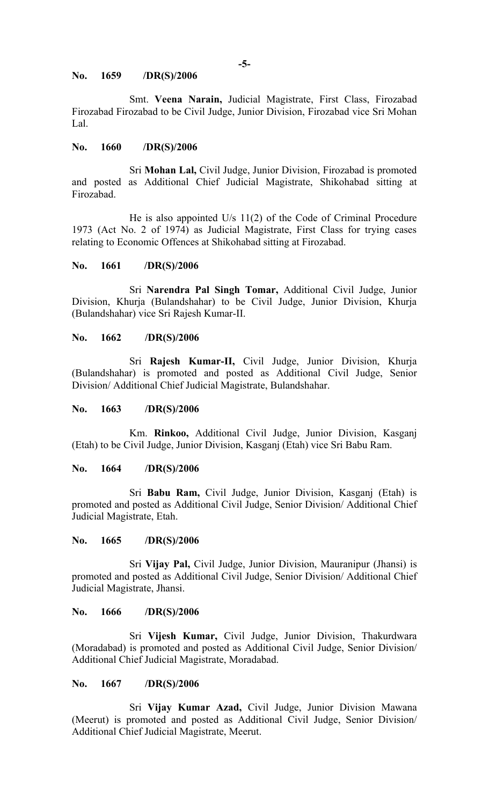#### **No. 1659 /DR(S)/2006**

Smt. **Veena Narain,** Judicial Magistrate, First Class, Firozabad Firozabad Firozabad to be Civil Judge, Junior Division, Firozabad vice Sri Mohan Lal.

#### **No. 1660 /DR(S)/2006**

Sri **Mohan Lal,** Civil Judge, Junior Division, Firozabad is promoted and posted as Additional Chief Judicial Magistrate, Shikohabad sitting at Firozabad.

He is also appointed U/s 11(2) of the Code of Criminal Procedure 1973 (Act No. 2 of 1974) as Judicial Magistrate, First Class for trying cases relating to Economic Offences at Shikohabad sitting at Firozabad.

## **No. 1661 /DR(S)/2006**

Sri **Narendra Pal Singh Tomar,** Additional Civil Judge, Junior Division, Khurja (Bulandshahar) to be Civil Judge, Junior Division, Khurja (Bulandshahar) vice Sri Rajesh Kumar-II.

#### **No. 1662 /DR(S)/2006**

Sri **Rajesh Kumar-II,** Civil Judge, Junior Division, Khurja (Bulandshahar) is promoted and posted as Additional Civil Judge, Senior Division/ Additional Chief Judicial Magistrate, Bulandshahar.

#### **No. 1663 /DR(S)/2006**

Km. **Rinkoo,** Additional Civil Judge, Junior Division, Kasganj (Etah) to be Civil Judge, Junior Division, Kasganj (Etah) vice Sri Babu Ram.

#### **No. 1664 /DR(S)/2006**

Sri **Babu Ram,** Civil Judge, Junior Division, Kasganj (Etah) is promoted and posted as Additional Civil Judge, Senior Division/ Additional Chief Judicial Magistrate, Etah.

## **No. 1665 /DR(S)/2006**

Sri **Vijay Pal,** Civil Judge, Junior Division, Mauranipur (Jhansi) is promoted and posted as Additional Civil Judge, Senior Division/ Additional Chief Judicial Magistrate, Jhansi.

## **No. 1666 /DR(S)/2006**

Sri **Vijesh Kumar,** Civil Judge, Junior Division, Thakurdwara (Moradabad) is promoted and posted as Additional Civil Judge, Senior Division/ Additional Chief Judicial Magistrate, Moradabad.

#### **No. 1667 /DR(S)/2006**

Sri **Vijay Kumar Azad,** Civil Judge, Junior Division Mawana (Meerut) is promoted and posted as Additional Civil Judge, Senior Division/ Additional Chief Judicial Magistrate, Meerut.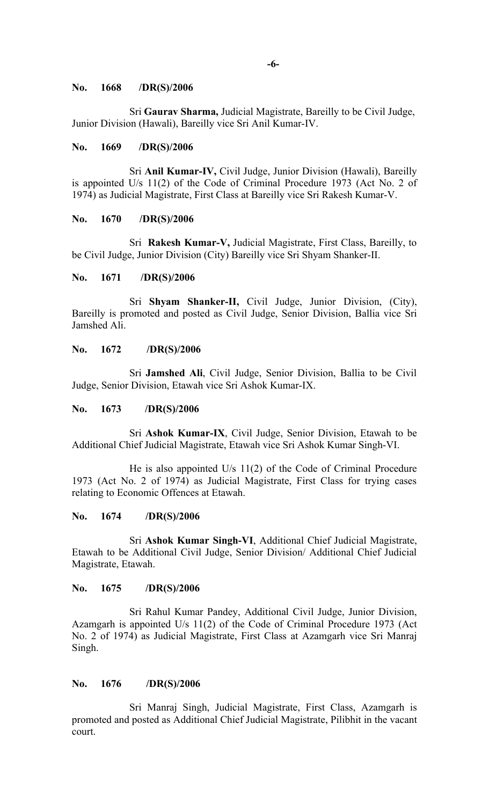#### **No. 1668 /DR(S)/2006**

Sri **Gaurav Sharma,** Judicial Magistrate, Bareilly to be Civil Judge, Junior Division (Hawali), Bareilly vice Sri Anil Kumar-IV.

#### **No. 1669 /DR(S)/2006**

Sri **Anil Kumar-IV,** Civil Judge, Junior Division (Hawali), Bareilly is appointed U/s 11(2) of the Code of Criminal Procedure 1973 (Act No. 2 of 1974) as Judicial Magistrate, First Class at Bareilly vice Sri Rakesh Kumar-V.

#### **No. 1670 /DR(S)/2006**

Sri **Rakesh Kumar-V,** Judicial Magistrate, First Class, Bareilly, to be Civil Judge, Junior Division (City) Bareilly vice Sri Shyam Shanker-II.

#### **No. 1671 /DR(S)/2006**

Sri **Shyam Shanker-II,** Civil Judge, Junior Division, (City), Bareilly is promoted and posted as Civil Judge, Senior Division, Ballia vice Sri Jamshed Ali.

## **No. 1672 /DR(S)/2006**

Sri **Jamshed Ali**, Civil Judge, Senior Division, Ballia to be Civil Judge, Senior Division, Etawah vice Sri Ashok Kumar-IX.

#### **No. 1673 /DR(S)/2006**

Sri **Ashok Kumar-IX**, Civil Judge, Senior Division, Etawah to be Additional Chief Judicial Magistrate, Etawah vice Sri Ashok Kumar Singh-VI.

He is also appointed U/s 11(2) of the Code of Criminal Procedure 1973 (Act No. 2 of 1974) as Judicial Magistrate, First Class for trying cases relating to Economic Offences at Etawah.

#### **No. 1674 /DR(S)/2006**

Sri **Ashok Kumar Singh-VI**, Additional Chief Judicial Magistrate, Etawah to be Additional Civil Judge, Senior Division/ Additional Chief Judicial Magistrate, Etawah.

#### **No. 1675 /DR(S)/2006**

Sri Rahul Kumar Pandey, Additional Civil Judge, Junior Division, Azamgarh is appointed U/s 11(2) of the Code of Criminal Procedure 1973 (Act No. 2 of 1974) as Judicial Magistrate, First Class at Azamgarh vice Sri Manraj Singh.

## **No. 1676 /DR(S)/2006**

Sri Manraj Singh, Judicial Magistrate, First Class, Azamgarh is promoted and posted as Additional Chief Judicial Magistrate, Pilibhit in the vacant court.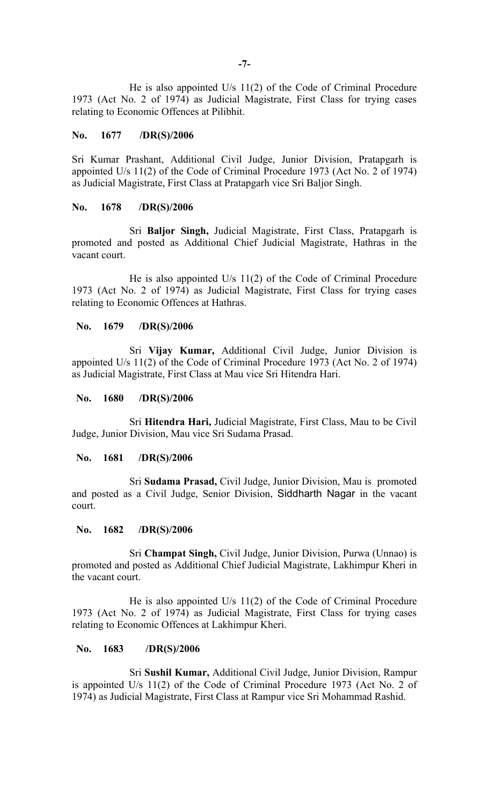He is also appointed U/s 11(2) of the Code of Criminal Procedure 1973 (Act No. 2 of 1974) as Judicial Magistrate, First Class for trying cases relating to Economic Offences at Pilibhit.

## **No. 1677 /DR(S)/2006**

Sri Kumar Prashant, Additional Civil Judge, Junior Division, Pratapgarh is appointed U/s 11(2) of the Code of Criminal Procedure 1973 (Act No. 2 of 1974) as Judicial Magistrate, First Class at Pratapgarh vice Sri Baljor Singh.

## **No. 1678 /DR(S)/2006**

Sri **Baljor Singh,** Judicial Magistrate, First Class, Pratapgarh is promoted and posted as Additional Chief Judicial Magistrate, Hathras in the vacant court.

He is also appointed U/s 11(2) of the Code of Criminal Procedure 1973 (Act No. 2 of 1974) as Judicial Magistrate, First Class for trying cases relating to Economic Offences at Hathras.

## **No. 1679 /DR(S)/2006**

Sri **Vijay Kumar,** Additional Civil Judge, Junior Division is appointed U/s 11(2) of the Code of Criminal Procedure 1973 (Act No. 2 of 1974) as Judicial Magistrate, First Class at Mau vice Sri Hitendra Hari.

## **No. 1680 /DR(S)/2006**

Sri **Hitendra Hari,** Judicial Magistrate, First Class, Mau to be Civil Judge, Junior Division, Mau vice Sri Sudama Prasad.

#### **No. 1681 /DR(S)/2006**

Sri **Sudama Prasad,** Civil Judge, Junior Division, Mau is promoted and posted as a Civil Judge, Senior Division, Siddharth Nagar in the vacant court.

#### **No. 1682 /DR(S)/2006**

Sri **Champat Singh,** Civil Judge, Junior Division, Purwa (Unnao) is promoted and posted as Additional Chief Judicial Magistrate, Lakhimpur Kheri in the vacant court.

He is also appointed U/s 11(2) of the Code of Criminal Procedure 1973 (Act No. 2 of 1974) as Judicial Magistrate, First Class for trying cases relating to Economic Offences at Lakhimpur Kheri.

#### **No. 1683 /DR(S)/2006**

Sri **Sushil Kumar,** Additional Civil Judge, Junior Division, Rampur is appointed U/s 11(2) of the Code of Criminal Procedure 1973 (Act No. 2 of 1974) as Judicial Magistrate, First Class at Rampur vice Sri Mohammad Rashid.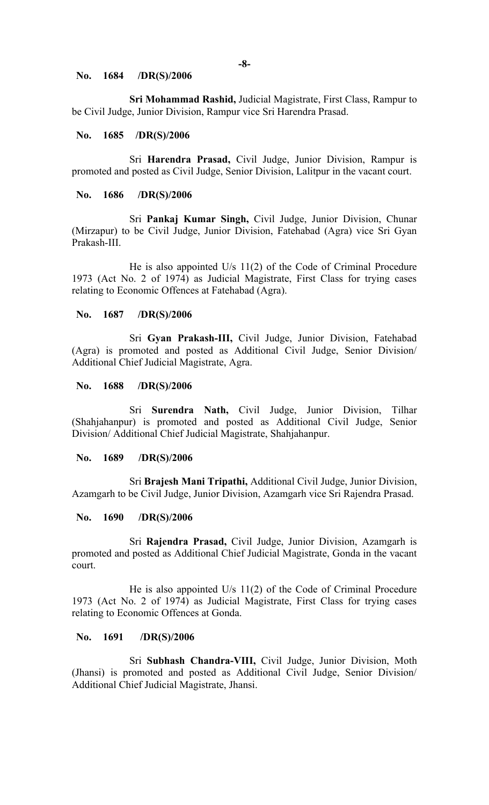#### **No. 1684 /DR(S)/2006**

**Sri Mohammad Rashid,** Judicial Magistrate, First Class, Rampur to be Civil Judge, Junior Division, Rampur vice Sri Harendra Prasad.

#### **No. 1685 /DR(S)/2006**

Sri **Harendra Prasad,** Civil Judge, Junior Division, Rampur is promoted and posted as Civil Judge, Senior Division, Lalitpur in the vacant court.

#### **No. 1686 /DR(S)/2006**

Sri **Pankaj Kumar Singh,** Civil Judge, Junior Division, Chunar (Mirzapur) to be Civil Judge, Junior Division, Fatehabad (Agra) vice Sri Gyan Prakash-III.

He is also appointed U/s 11(2) of the Code of Criminal Procedure 1973 (Act No. 2 of 1974) as Judicial Magistrate, First Class for trying cases relating to Economic Offences at Fatehabad (Agra).

#### **No. 1687 /DR(S)/2006**

Sri **Gyan Prakash-III,** Civil Judge, Junior Division, Fatehabad (Agra) is promoted and posted as Additional Civil Judge, Senior Division/ Additional Chief Judicial Magistrate, Agra.

#### **No. 1688 /DR(S)/2006**

Sri **Surendra Nath,** Civil Judge, Junior Division, Tilhar (Shahjahanpur) is promoted and posted as Additional Civil Judge, Senior Division/ Additional Chief Judicial Magistrate, Shahjahanpur.

#### **No. 1689 /DR(S)/2006**

Sri **Brajesh Mani Tripathi,** Additional Civil Judge, Junior Division, Azamgarh to be Civil Judge, Junior Division, Azamgarh vice Sri Rajendra Prasad.

#### **No. 1690 /DR(S)/2006**

Sri **Rajendra Prasad,** Civil Judge, Junior Division, Azamgarh is promoted and posted as Additional Chief Judicial Magistrate, Gonda in the vacant court.

He is also appointed U/s 11(2) of the Code of Criminal Procedure 1973 (Act No. 2 of 1974) as Judicial Magistrate, First Class for trying cases relating to Economic Offences at Gonda.

## **No. 1691 /DR(S)/2006**

Sri **Subhash Chandra-VIII,** Civil Judge, Junior Division, Moth (Jhansi) is promoted and posted as Additional Civil Judge, Senior Division/ Additional Chief Judicial Magistrate, Jhansi.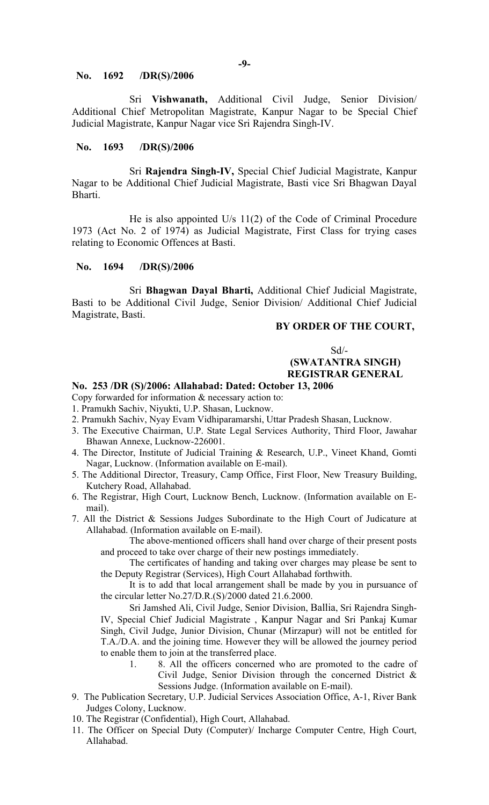#### **No. 1692 /DR(S)/2006**

Sri **Vishwanath,** Additional Civil Judge, Senior Division/ Additional Chief Metropolitan Magistrate, Kanpur Nagar to be Special Chief Judicial Magistrate, Kanpur Nagar vice Sri Rajendra Singh-IV.

## **No. 1693 /DR(S)/2006**

Sri **Rajendra Singh-IV,** Special Chief Judicial Magistrate, Kanpur Nagar to be Additional Chief Judicial Magistrate, Basti vice Sri Bhagwan Dayal Bharti.

He is also appointed U/s 11(2) of the Code of Criminal Procedure 1973 (Act No. 2 of 1974) as Judicial Magistrate, First Class for trying cases relating to Economic Offences at Basti.

## **No. 1694 /DR(S)/2006**

Sri **Bhagwan Dayal Bharti,** Additional Chief Judicial Magistrate, Basti to be Additional Civil Judge, Senior Division/ Additional Chief Judicial Magistrate, Basti.

## **BY ORDER OF THE COURT,**

Sd/-

## **(SWATANTRA SINGH) REGISTRAR GENERAL**

## **No. 253 /DR (S)/2006: Allahabad: Dated: October 13, 2006**

- Copy forwarded for information & necessary action to:
- 1. Pramukh Sachiv, Niyukti, U.P. Shasan, Lucknow.
- 2. Pramukh Sachiv, Nyay Evam Vidhiparamarshi, Uttar Pradesh Shasan, Lucknow.
- 3. The Executive Chairman, U.P. State Legal Services Authority, Third Floor, Jawahar Bhawan Annexe, Lucknow-226001.
- 4. The Director, Institute of Judicial Training & Research, U.P., Vineet Khand, Gomti Nagar, Lucknow. (Information available on E-mail).
- 5. The Additional Director, Treasury, Camp Office, First Floor, New Treasury Building, Kutchery Road, Allahabad.
- 6. The Registrar, High Court, Lucknow Bench, Lucknow. (Information available on Email).
- 7. All the District & Sessions Judges Subordinate to the High Court of Judicature at Allahabad. (Information available on E-mail).

The above-mentioned officers shall hand over charge of their present posts and proceed to take over charge of their new postings immediately.

The certificates of handing and taking over charges may please be sent to the Deputy Registrar (Services), High Court Allahabad forthwith.

It is to add that local arrangement shall be made by you in pursuance of the circular letter No.27/D.R.(S)/2000 dated 21.6.2000.

Sri Jamshed Ali, Civil Judge, Senior Division, Ballia, Sri Rajendra Singh-IV, Special Chief Judicial Magistrate , Kanpur Nagar and Sri Pankaj Kumar Singh, Civil Judge, Junior Division, Chunar (Mirzapur) will not be entitled for T.A./D.A. and the joining time. However they will be allowed the journey period to enable them to join at the transferred place.

- 1. 8. All the officers concerned who are promoted to the cadre of Civil Judge, Senior Division through the concerned District & Sessions Judge. (Information available on E-mail).
- 9. The Publication Secretary, U.P. Judicial Services Association Office, A-1, River Bank Judges Colony, Lucknow.
- 10. The Registrar (Confidential), High Court, Allahabad.
- 11. The Officer on Special Duty (Computer)/ Incharge Computer Centre, High Court, Allahabad.